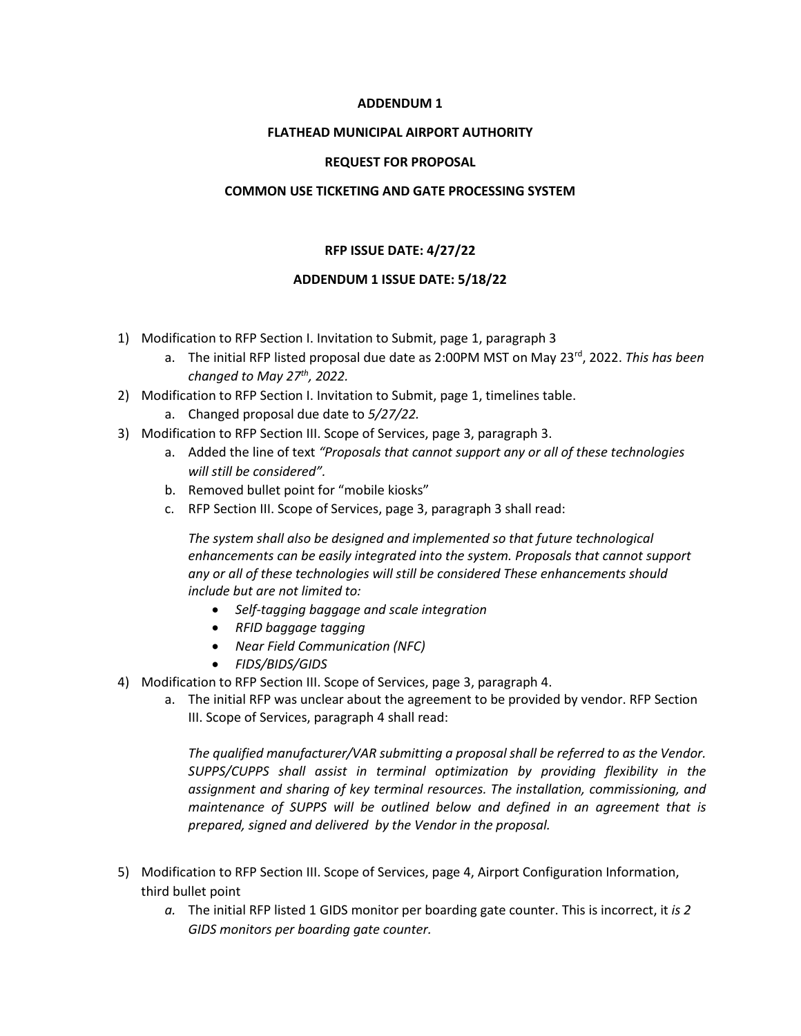# **ADDENDUM 1**

#### **FLATHEAD MUNICIPAL AIRPORT AUTHORITY**

### **REQUEST FOR PROPOSAL**

### **COMMON USE TICKETING AND GATE PROCESSING SYSTEM**

# **RFP ISSUE DATE: 4/27/22**

### **ADDENDUM 1 ISSUE DATE: 5/18/22**

- 1) Modification to RFP Section I. Invitation to Submit, page 1, paragraph 3
	- a. The initial RFP listed proposal due date as 2:00PM MST on May 23rd, 2022. *This has been changed to May 27th, 2022.*
- 2) Modification to RFP Section I. Invitation to Submit, page 1, timelines table.
	- a. Changed proposal due date to *5/27/22.*
- 3) Modification to RFP Section III. Scope of Services, page 3, paragraph 3.
	- a. Added the line of text *"Proposals that cannot support any or all of these technologies will still be considered".*
	- b. Removed bullet point for "mobile kiosks"
	- c. RFP Section III. Scope of Services, page 3, paragraph 3 shall read:

*The system shall also be designed and implemented so that future technological enhancements can be easily integrated into the system. Proposals that cannot support any or all of these technologies will still be considered These enhancements should include but are not limited to:*

- *Self-tagging baggage and scale integration*
- *RFID baggage tagging*
- *Near Field Communication (NFC)*
- *FIDS/BIDS/GIDS*
- 4) Modification to RFP Section III. Scope of Services, page 3, paragraph 4.
	- a. The initial RFP was unclear about the agreement to be provided by vendor. RFP Section III. Scope of Services, paragraph 4 shall read:

*The qualified manufacturer/VAR submitting a proposal shall be referred to as the Vendor. SUPPS/CUPPS shall assist in terminal optimization by providing flexibility in the assignment and sharing of key terminal resources. The installation, commissioning, and maintenance of SUPPS will be outlined below and defined in an agreement that is prepared, signed and delivered by the Vendor in the proposal.*

- 5) Modification to RFP Section III. Scope of Services, page 4, Airport Configuration Information, third bullet point
	- *a.* The initial RFP listed 1 GIDS monitor per boarding gate counter. This is incorrect, it *is 2 GIDS monitors per boarding gate counter.*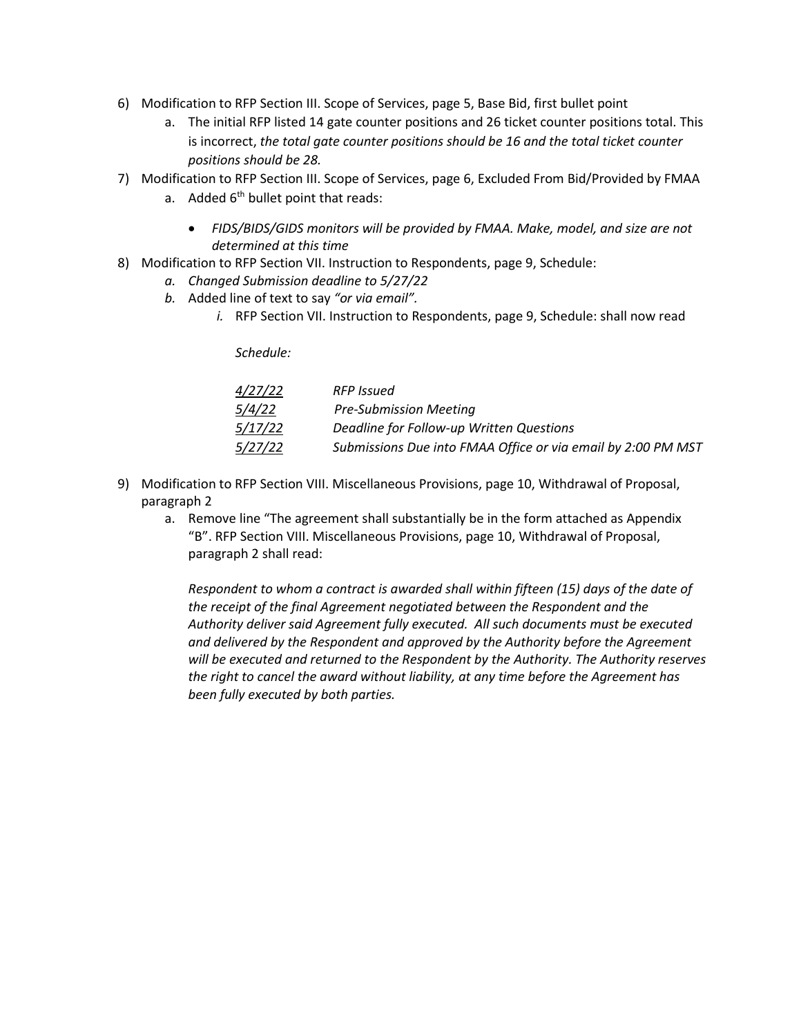- 6) Modification to RFP Section III. Scope of Services, page 5, Base Bid, first bullet point
	- a. The initial RFP listed 14 gate counter positions and 26 ticket counter positions total. This is incorrect, *the total gate counter positions should be 16 and the total ticket counter positions should be 28.*
- 7) Modification to RFP Section III. Scope of Services, page 6, Excluded From Bid/Provided by FMAA
	- a. Added  $6<sup>th</sup>$  bullet point that reads:
		- *FIDS/BIDS/GIDS monitors will be provided by FMAA. Make, model, and size are not determined at this time*
- 8) Modification to RFP Section VII. Instruction to Respondents, page 9, Schedule:
	- *a. Changed Submission deadline to 5/27/22*
	- *b.* Added line of text to say *"or via email".*
		- *i.* RFP Section VII. Instruction to Respondents, page 9, Schedule: shall now read

*Schedule:*

| 4/27/22       | <b>RFP</b> Issued                                            |
|---------------|--------------------------------------------------------------|
| <i>5/4/22</i> | <b>Pre-Submission Meeting</b>                                |
| 5/17/22       | Deadline for Follow-up Written Questions                     |
| 5/27/22       | Submissions Due into FMAA Office or via email by 2:00 PM MST |

- 9) Modification to RFP Section VIII. Miscellaneous Provisions, page 10, Withdrawal of Proposal, paragraph 2
	- a. Remove line "The agreement shall substantially be in the form attached as Appendix "B". RFP Section VIII. Miscellaneous Provisions, page 10, Withdrawal of Proposal, paragraph 2 shall read:

*Respondent to whom a contract is awarded shall within fifteen (15) days of the date of the receipt of the final Agreement negotiated between the Respondent and the Authority deliver said Agreement fully executed. All such documents must be executed and delivered by the Respondent and approved by the Authority before the Agreement will be executed and returned to the Respondent by the Authority. The Authority reserves the right to cancel the award without liability, at any time before the Agreement has been fully executed by both parties.*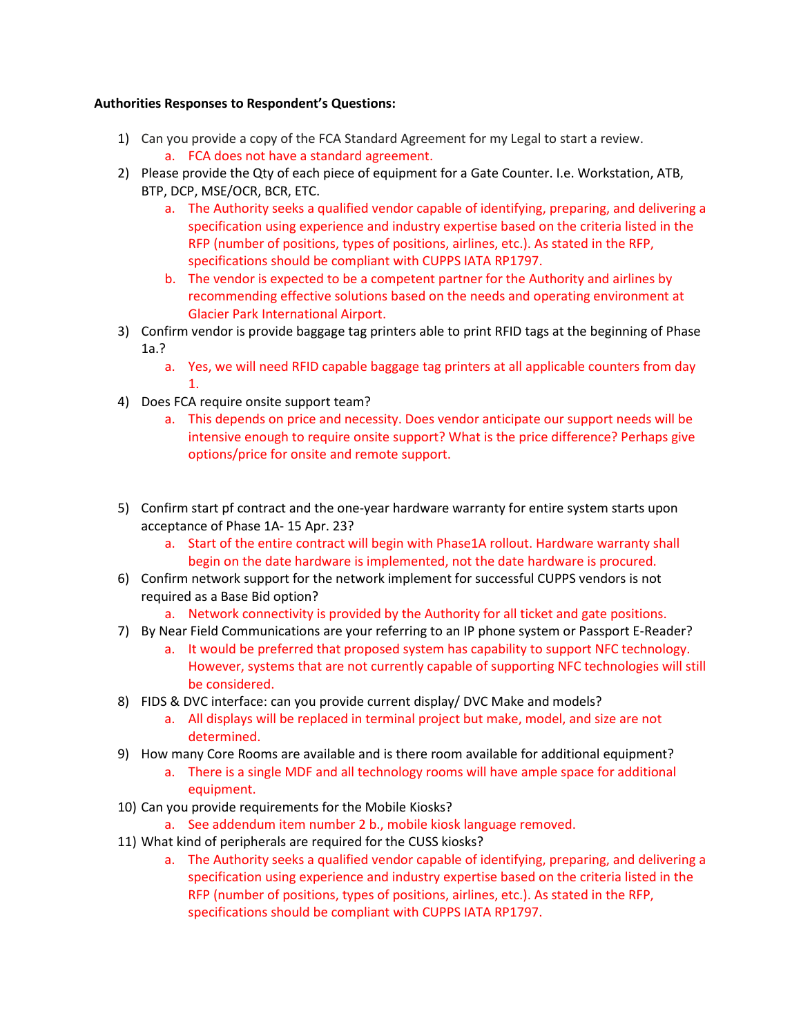# **Authorities Responses to Respondent's Questions:**

- 1) Can you provide a copy of the FCA Standard Agreement for my Legal to start a review. a. FCA does not have a standard agreement.
- 2) Please provide the Qty of each piece of equipment for a Gate Counter. I.e. Workstation, ATB, BTP, DCP, MSE/OCR, BCR, ETC.
	- a. The Authority seeks a qualified vendor capable of identifying, preparing, and delivering a specification using experience and industry expertise based on the criteria listed in the RFP (number of positions, types of positions, airlines, etc.). As stated in the RFP, specifications should be compliant with CUPPS IATA RP1797.
	- b. The vendor is expected to be a competent partner for the Authority and airlines by recommending effective solutions based on the needs and operating environment at Glacier Park International Airport.
- 3) Confirm vendor is provide baggage tag printers able to print RFID tags at the beginning of Phase 1a.?
	- a. Yes, we will need RFID capable baggage tag printers at all applicable counters from day 1.
- 4) Does FCA require onsite support team?
	- a. This depends on price and necessity. Does vendor anticipate our support needs will be intensive enough to require onsite support? What is the price difference? Perhaps give options/price for onsite and remote support.
- 5) Confirm start pf contract and the one-year hardware warranty for entire system starts upon acceptance of Phase 1A- 15 Apr. 23?
	- a. Start of the entire contract will begin with Phase1A rollout. Hardware warranty shall begin on the date hardware is implemented, not the date hardware is procured.
- 6) Confirm network support for the network implement for successful CUPPS vendors is not required as a Base Bid option?
	- a. Network connectivity is provided by the Authority for all ticket and gate positions.
- 7) By Near Field Communications are your referring to an IP phone system or Passport E-Reader?
	- a. It would be preferred that proposed system has capability to support NFC technology. However, systems that are not currently capable of supporting NFC technologies will still be considered.
- 8) FIDS & DVC interface: can you provide current display/ DVC Make and models?
	- a. All displays will be replaced in terminal project but make, model, and size are not determined.
- 9) How many Core Rooms are available and is there room available for additional equipment?
	- a. There is a single MDF and all technology rooms will have ample space for additional equipment.
- 10) Can you provide requirements for the Mobile Kiosks?
	- a. See addendum item number 2 b., mobile kiosk language removed.
- 11) What kind of peripherals are required for the CUSS kiosks?
	- a. The Authority seeks a qualified vendor capable of identifying, preparing, and delivering a specification using experience and industry expertise based on the criteria listed in the RFP (number of positions, types of positions, airlines, etc.). As stated in the RFP, specifications should be compliant with CUPPS IATA RP1797.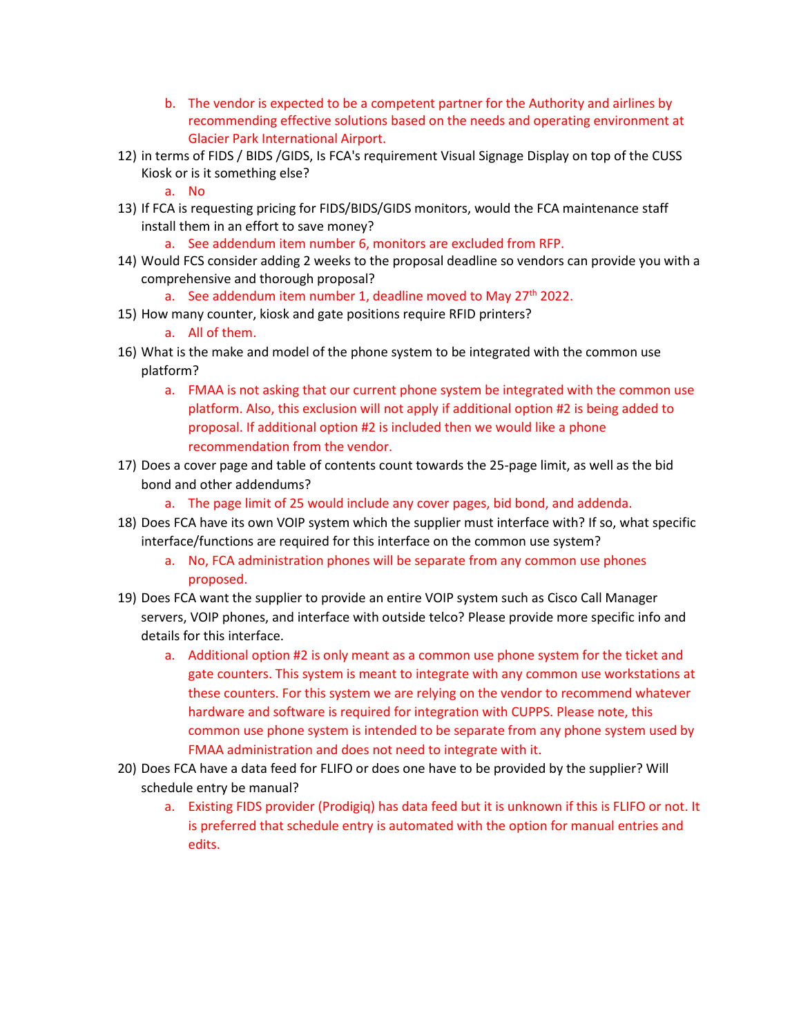- b. The vendor is expected to be a competent partner for the Authority and airlines by recommending effective solutions based on the needs and operating environment at Glacier Park International Airport.
- 12) in terms of FIDS / BIDS /GIDS, Is FCA's requirement Visual Signage Display on top of the CUSS Kiosk or is it something else?
	- a. No
- 13) If FCA is requesting pricing for FIDS/BIDS/GIDS monitors, would the FCA maintenance staff install them in an effort to save money?
	- a. See addendum item number 6, monitors are excluded from RFP.
- 14) Would FCS consider adding 2 weeks to the proposal deadline so vendors can provide you with a comprehensive and thorough proposal?
	- a. See addendum item number 1, deadline moved to May  $27<sup>th</sup>$  2022.
- 15) How many counter, kiosk and gate positions require RFID printers?
	- a. All of them.
- 16) What is the make and model of the phone system to be integrated with the common use platform?
	- a. FMAA is not asking that our current phone system be integrated with the common use platform. Also, this exclusion will not apply if additional option #2 is being added to proposal. If additional option #2 is included then we would like a phone recommendation from the vendor.
- 17) Does a cover page and table of contents count towards the 25-page limit, as well as the bid bond and other addendums?
	- a. The page limit of 25 would include any cover pages, bid bond, and addenda.
- 18) Does FCA have its own VOIP system which the supplier must interface with? If so, what specific interface/functions are required for this interface on the common use system?
	- a. No, FCA administration phones will be separate from any common use phones proposed.
- 19) Does FCA want the supplier to provide an entire VOIP system such as Cisco Call Manager servers, VOIP phones, and interface with outside telco? Please provide more specific info and details for this interface.
	- a. Additional option #2 is only meant as a common use phone system for the ticket and gate counters. This system is meant to integrate with any common use workstations at these counters. For this system we are relying on the vendor to recommend whatever hardware and software is required for integration with CUPPS. Please note, this common use phone system is intended to be separate from any phone system used by FMAA administration and does not need to integrate with it.
- 20) Does FCA have a data feed for FLIFO or does one have to be provided by the supplier? Will schedule entry be manual?
	- a. Existing FIDS provider (Prodigiq) has data feed but it is unknown if this is FLIFO or not. It is preferred that schedule entry is automated with the option for manual entries and edits.